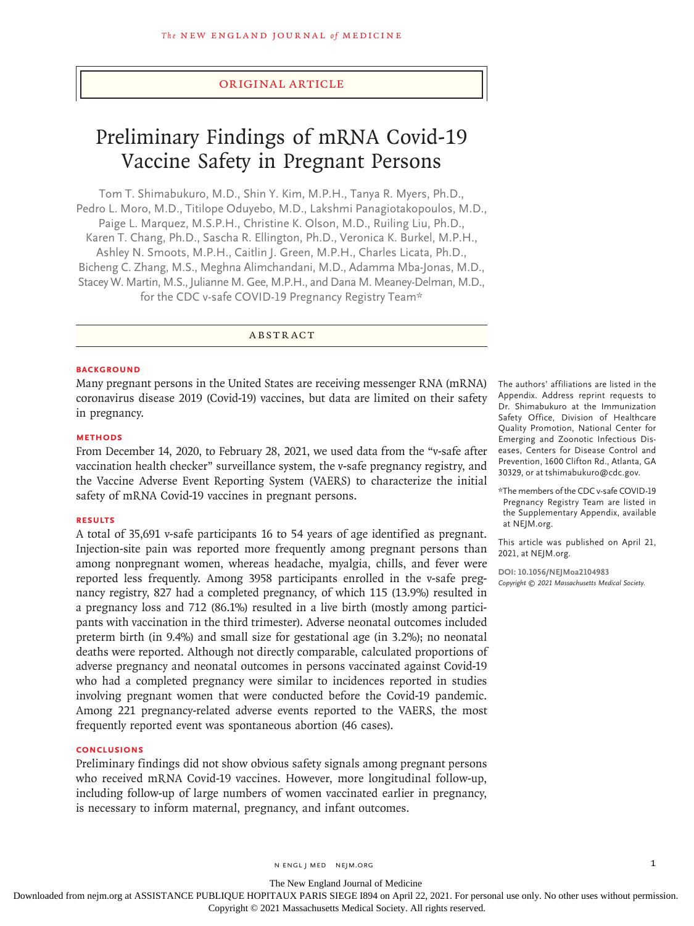## Original Article

# Preliminary Findings of mRNA Covid-19 Vaccine Safety in Pregnant Persons

Tom T. Shimabukuro, M.D., Shin Y. Kim, M.P.H., Tanya R. Myers, Ph.D., Pedro L. Moro, M.D., Titilope Oduyebo, M.D., Lakshmi Panagiotakopoulos, M.D., Paige L. Marquez, M.S.P.H., Christine K. Olson, M.D., Ruiling Liu, Ph.D., Karen T. Chang, Ph.D., Sascha R. Ellington, Ph.D., Veronica K. Burkel, M.P.H., Ashley N. Smoots, M.P.H., Caitlin J. Green, M.P.H., Charles Licata, Ph.D., Bicheng C. Zhang, M.S., Meghna Alimchandani, M.D., Adamma Mba-Jonas, M.D., Stacey W. Martin, M.S., Julianne M. Gee, M.P.H., and Dana M. Meaney-Delman, M.D., for the CDC v-safe COVID-19 Pregnancy Registry Team\*

# ABSTRACT

#### **BACKGROUND**

Many pregnant persons in the United States are receiving messenger RNA (mRNA) coronavirus disease 2019 (Covid-19) vaccines, but data are limited on their safety in pregnancy.

#### **METHODS**

From December 14, 2020, to February 28, 2021, we used data from the "v-safe after vaccination health checker" surveillance system, the v-safe pregnancy registry, and the Vaccine Adverse Event Reporting System (VAERS) to characterize the initial safety of mRNA Covid-19 vaccines in pregnant persons.

## **RESULTS**

A total of 35,691 v-safe participants 16 to 54 years of age identified as pregnant. Injection-site pain was reported more frequently among pregnant persons than among nonpregnant women, whereas headache, myalgia, chills, and fever were reported less frequently. Among 3958 participants enrolled in the v-safe pregnancy registry, 827 had a completed pregnancy, of which 115 (13.9%) resulted in a pregnancy loss and 712 (86.1%) resulted in a live birth (mostly among participants with vaccination in the third trimester). Adverse neonatal outcomes included preterm birth (in 9.4%) and small size for gestational age (in 3.2%); no neonatal deaths were reported. Although not directly comparable, calculated proportions of adverse pregnancy and neonatal outcomes in persons vaccinated against Covid-19 who had a completed pregnancy were similar to incidences reported in studies involving pregnant women that were conducted before the Covid-19 pandemic. Among 221 pregnancy-related adverse events reported to the VAERS, the most frequently reported event was spontaneous abortion (46 cases).

## **CONCLUSIONS**

Preliminary findings did not show obvious safety signals among pregnant persons who received mRNA Covid-19 vaccines. However, more longitudinal follow-up, including follow-up of large numbers of women vaccinated earlier in pregnancy, is necessary to inform maternal, pregnancy, and infant outcomes.

The authors' affiliations are listed in the Appendix. Address reprint requests to Dr. Shimabukuro at the Immunization Safety Office, Division of Healthcare Quality Promotion, National Center for Emerging and Zoonotic Infectious Diseases, Centers for Disease Control and Prevention, 1600 Clifton Rd., Atlanta, GA 30329, or at tshimabukuro@cdc.gov.

\*The members of the CDC v-safe COVID-19 Pregnancy Registry Team are listed in the Supplementary Appendix, available at NEJM.org.

This article was published on April 21, 2021, at NEJM.org.

**DOI: 10.1056/NEJMoa2104983** *Copyright © 2021 Massachusetts Medical Society.*

The New England Journal of Medicine

Downloaded from nejm.org at ASSISTANCE PUBLIQUE HOPITAUX PARIS SIEGE I894 on April 22, 2021. For personal use only. No other uses without permission.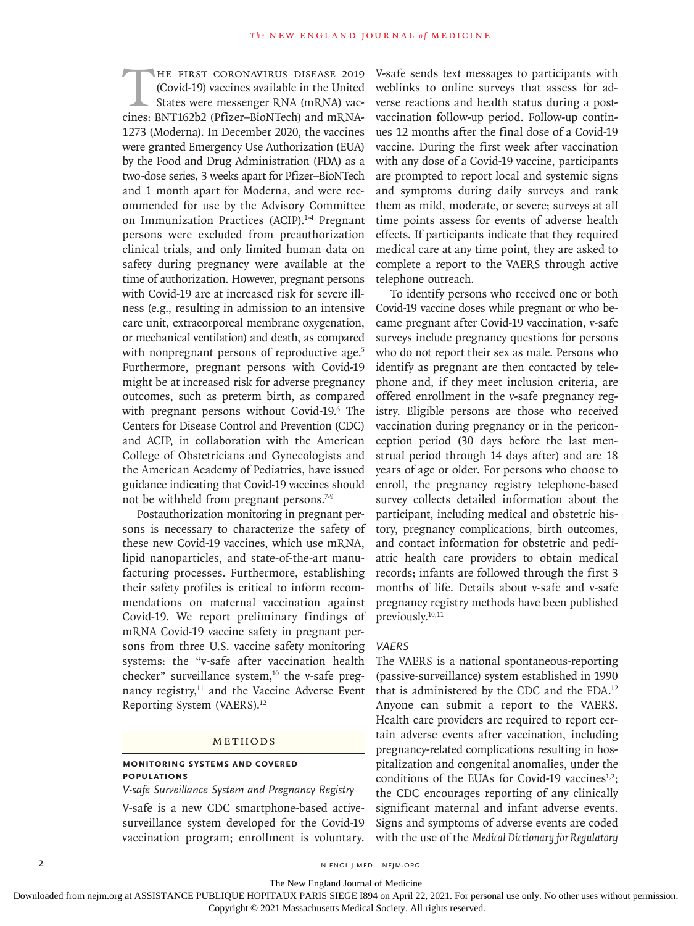THE FIRST CORONAVIRUS DISEASE 2019 (Covid-19) vaccines available in the United States were messenger RNA (mRNA) vaccines: BNT162b2 (Pfizer–BioNTech) and mRNA-1273 (Moderna). In December 2020, the vaccines were granted Emergency Use Authorization (EUA) by the Food and Drug Administration (FDA) as a two-dose series, 3 weeks apart for Pfizer–BioNTech and 1 month apart for Moderna, and were recommended for use by the Advisory Committee on Immunization Practices (ACIP).<sup>1-4</sup> Pregnant persons were excluded from preauthorization clinical trials, and only limited human data on safety during pregnancy were available at the time of authorization. However, pregnant persons with Covid-19 are at increased risk for severe illness (e.g., resulting in admission to an intensive care unit, extracorporeal membrane oxygenation, or mechanical ventilation) and death, as compared with nonpregnant persons of reproductive age.<sup>5</sup> Furthermore, pregnant persons with Covid-19 might be at increased risk for adverse pregnancy outcomes, such as preterm birth, as compared with pregnant persons without Covid-19.6 The Centers for Disease Control and Prevention (CDC) and ACIP, in collaboration with the American College of Obstetricians and Gynecologists and the American Academy of Pediatrics, have issued guidance indicating that Covid-19 vaccines should not be withheld from pregnant persons.<sup>7-9</sup>

Postauthorization monitoring in pregnant persons is necessary to characterize the safety of these new Covid-19 vaccines, which use mRNA, lipid nanoparticles, and state-of-the-art manufacturing processes. Furthermore, establishing their safety profiles is critical to inform recommendations on maternal vaccination against Covid-19. We report preliminary findings of mRNA Covid-19 vaccine safety in pregnant persons from three U.S. vaccine safety monitoring systems: the "v-safe after vaccination health checker" surveillance system, $10$  the v-safe pregnancy registry,<sup>11</sup> and the Vaccine Adverse Event Reporting System (VAERS).12

#### Methods

## **Monitoring Systems and Covered Populations**

*V-safe Surveillance System and Pregnancy Registry*

V-safe is a new CDC smartphone-based activesurveillance system developed for the Covid-19 vaccination program; enrollment is voluntary.

V-safe sends text messages to participants with weblinks to online surveys that assess for adverse reactions and health status during a postvaccination follow-up period. Follow-up continues 12 months after the final dose of a Covid-19 vaccine. During the first week after vaccination with any dose of a Covid-19 vaccine, participants are prompted to report local and systemic signs and symptoms during daily surveys and rank them as mild, moderate, or severe; surveys at all time points assess for events of adverse health effects. If participants indicate that they required medical care at any time point, they are asked to complete a report to the VAERS through active telephone outreach.

To identify persons who received one or both Covid-19 vaccine doses while pregnant or who became pregnant after Covid-19 vaccination, v-safe surveys include pregnancy questions for persons who do not report their sex as male. Persons who identify as pregnant are then contacted by telephone and, if they meet inclusion criteria, are offered enrollment in the v-safe pregnancy registry. Eligible persons are those who received vaccination during pregnancy or in the periconception period (30 days before the last menstrual period through 14 days after) and are 18 years of age or older. For persons who choose to enroll, the pregnancy registry telephone-based survey collects detailed information about the participant, including medical and obstetric history, pregnancy complications, birth outcomes, and contact information for obstetric and pediatric health care providers to obtain medical records; infants are followed through the first 3 months of life. Details about v-safe and v-safe pregnancy registry methods have been published previously.<sup>10,11</sup>

#### *VAERS*

The VAERS is a national spontaneous-reporting (passive-surveillance) system established in 1990 that is administered by the CDC and the FDA.12 Anyone can submit a report to the VAERS. Health care providers are required to report certain adverse events after vaccination, including pregnancy-related complications resulting in hospitalization and congenital anomalies, under the conditions of the EUAs for Covid-19 vaccines $1,2$ ; the CDC encourages reporting of any clinically significant maternal and infant adverse events. Signs and symptoms of adverse events are coded with the use of the *Medical Dictionary for Regulatory* 

2 N ENGL J MED NEJM.ORG

The New England Journal of Medicine

Downloaded from nejm.org at ASSISTANCE PUBLIQUE HOPITAUX PARIS SIEGE I894 on April 22, 2021. For personal use only. No other uses without permission.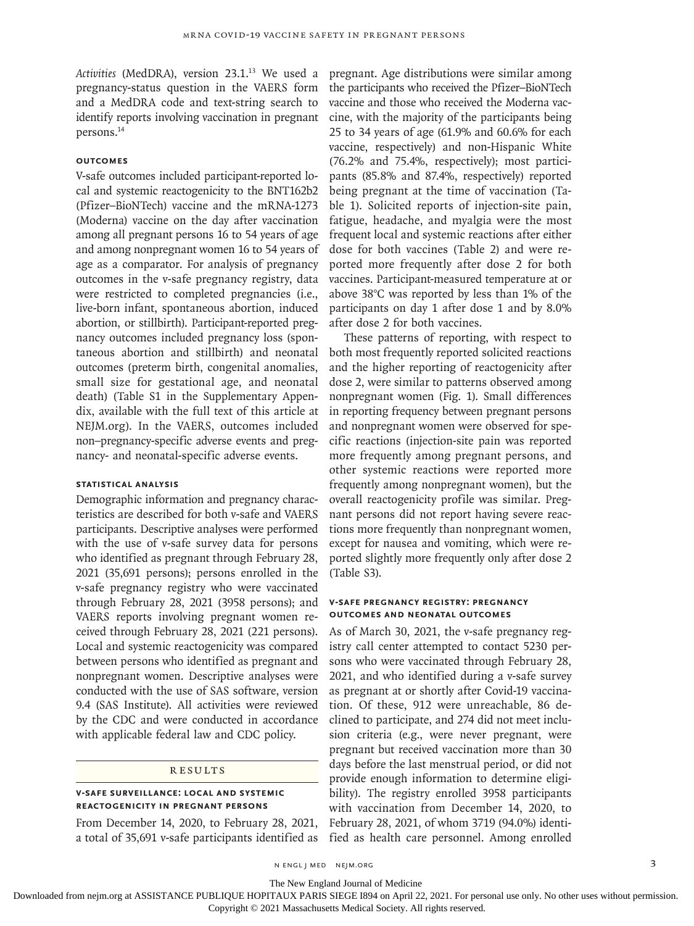Activities (MedDRA), version 23.1.<sup>13</sup> We used a pregnancy-status question in the VAERS form and a MedDRA code and text-string search to identify reports involving vaccination in pregnant persons.14

## **Outcomes**

V-safe outcomes included participant-reported local and systemic reactogenicity to the BNT162b2 (Pfizer–BioNTech) vaccine and the mRNA-1273 (Moderna) vaccine on the day after vaccination among all pregnant persons 16 to 54 years of age and among nonpregnant women 16 to 54 years of age as a comparator. For analysis of pregnancy outcomes in the v-safe pregnancy registry, data were restricted to completed pregnancies (i.e., live-born infant, spontaneous abortion, induced abortion, or stillbirth). Participant-reported pregnancy outcomes included pregnancy loss (spontaneous abortion and stillbirth) and neonatal outcomes (preterm birth, congenital anomalies, small size for gestational age, and neonatal death) (Table S1 in the Supplementary Appendix, available with the full text of this article at NEJM.org). In the VAERS, outcomes included non–pregnancy-specific adverse events and pregnancy- and neonatal-specific adverse events.

# **Statistical Analysis**

Demographic information and pregnancy characteristics are described for both v-safe and VAERS participants. Descriptive analyses were performed with the use of v-safe survey data for persons who identified as pregnant through February 28, 2021 (35,691 persons); persons enrolled in the v-safe pregnancy registry who were vaccinated through February 28, 2021 (3958 persons); and VAERS reports involving pregnant women received through February 28, 2021 (221 persons). Local and systemic reactogenicity was compared between persons who identified as pregnant and nonpregnant women. Descriptive analyses were conducted with the use of SAS software, version 9.4 (SAS Institute). All activities were reviewed by the CDC and were conducted in accordance with applicable federal law and CDC policy.

#### **RESULTS**

## **V-safe Surveillance: Local and Systemic Reactogenicity in Pregnant Persons**

From December 14, 2020, to February 28, 2021, a total of 35,691 v-safe participants identified as pregnant. Age distributions were similar among the participants who received the Pfizer–BioNTech vaccine and those who received the Moderna vaccine, with the majority of the participants being 25 to 34 years of age (61.9% and 60.6% for each vaccine, respectively) and non-Hispanic White (76.2% and 75.4%, respectively); most participants (85.8% and 87.4%, respectively) reported being pregnant at the time of vaccination (Table 1). Solicited reports of injection-site pain, fatigue, headache, and myalgia were the most frequent local and systemic reactions after either dose for both vaccines (Table 2) and were reported more frequently after dose 2 for both vaccines. Participant-measured temperature at or above 38°C was reported by less than 1% of the participants on day 1 after dose 1 and by 8.0% after dose 2 for both vaccines.

These patterns of reporting, with respect to both most frequently reported solicited reactions and the higher reporting of reactogenicity after dose 2, were similar to patterns observed among nonpregnant women (Fig. 1). Small differences in reporting frequency between pregnant persons and nonpregnant women were observed for specific reactions (injection-site pain was reported more frequently among pregnant persons, and other systemic reactions were reported more frequently among nonpregnant women), but the overall reactogenicity profile was similar. Pregnant persons did not report having severe reactions more frequently than nonpregnant women, except for nausea and vomiting, which were reported slightly more frequently only after dose 2 (Table S3).

## **V-safe Pregnancy Registry: Pregnancy Outcomes and Neonatal Outcomes**

As of March 30, 2021, the v-safe pregnancy registry call center attempted to contact 5230 persons who were vaccinated through February 28, 2021, and who identified during a v-safe survey as pregnant at or shortly after Covid-19 vaccination. Of these, 912 were unreachable, 86 declined to participate, and 274 did not meet inclusion criteria (e.g., were never pregnant, were pregnant but received vaccination more than 30 days before the last menstrual period, or did not provide enough information to determine eligibility). The registry enrolled 3958 participants with vaccination from December 14, 2020, to February 28, 2021, of whom 3719 (94.0%) identified as health care personnel. Among enrolled

The New England Journal of Medicine

Downloaded from nejm.org at ASSISTANCE PUBLIQUE HOPITAUX PARIS SIEGE I894 on April 22, 2021. For personal use only. No other uses without permission. Copyright © 2021 Massachusetts Medical Society. All rights reserved.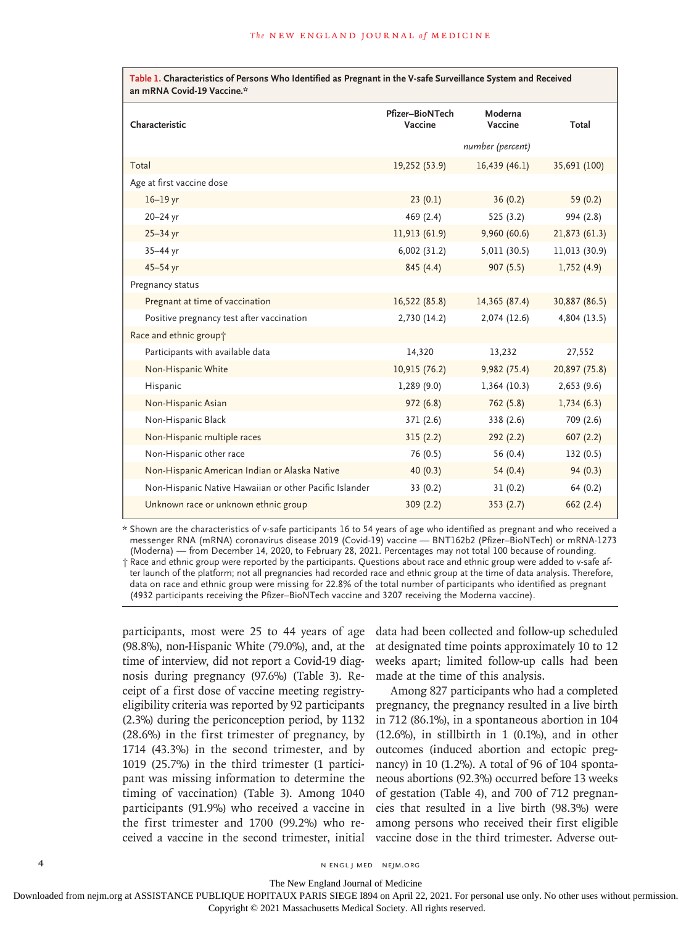| Table 1. Characteristics of Persons Who Identified as Pregnant in the V-safe Surveillance System and Received<br>an mRNA Covid-19 Vaccine.* |                            |                    |               |  |
|---------------------------------------------------------------------------------------------------------------------------------------------|----------------------------|--------------------|---------------|--|
| Characteristic                                                                                                                              | Pfizer-BioNTech<br>Vaccine | Moderna<br>Vaccine | Total         |  |
|                                                                                                                                             |                            | number (percent)   |               |  |
| Total                                                                                                                                       | 19,252 (53.9)              | 16,439(46.1)       | 35,691 (100)  |  |
| Age at first vaccine dose                                                                                                                   |                            |                    |               |  |
| $16-19$ yr                                                                                                                                  | 23(0.1)                    | 36(0.2)            | 59 $(0.2)$    |  |
| 20-24 yr                                                                                                                                    | 469 (2.4)                  | 525(3.2)           | 994 (2.8)     |  |
| $25 - 34$ yr                                                                                                                                | 11,913 (61.9)              | 9,960(60.6)        | 21,873 (61.3) |  |
| $35 - 44$ yr                                                                                                                                | 6,002(31.2)                | 5,011(30.5)        | 11,013 (30.9) |  |
| $45 - 54$ yr                                                                                                                                | 845(4.4)                   | 907(5.5)           | 1,752(4.9)    |  |
| Pregnancy status                                                                                                                            |                            |                    |               |  |
| Pregnant at time of vaccination                                                                                                             | 16,522 (85.8)              | 14,365 (87.4)      | 30,887 (86.5) |  |
| Positive pregnancy test after vaccination                                                                                                   | 2,730 (14.2)               | 2,074 (12.6)       | 4,804 (13.5)  |  |
| Race and ethnic group+                                                                                                                      |                            |                    |               |  |
| Participants with available data                                                                                                            | 14,320                     | 13,232             | 27,552        |  |
| Non-Hispanic White                                                                                                                          | 10,915 (76.2)              | 9,982 (75.4)       | 20,897 (75.8) |  |
| Hispanic                                                                                                                                    | 1,289(9.0)                 | 1,364(10.3)        | 2,653(9.6)    |  |
| Non-Hispanic Asian                                                                                                                          | 972(6.8)                   | 762 (5.8)          | 1,734(6.3)    |  |
| Non-Hispanic Black                                                                                                                          | 371 (2.6)                  | 338 (2.6)          | 709 (2.6)     |  |
| Non-Hispanic multiple races                                                                                                                 | 315(2.2)                   | 292(2.2)           | 607(2.2)      |  |
| Non-Hispanic other race                                                                                                                     | 76 (0.5)                   | 56 (0.4)           | 132(0.5)      |  |
| Non-Hispanic American Indian or Alaska Native                                                                                               | 40(0.3)                    | 54(0.4)            | 94(0.3)       |  |
| Non-Hispanic Native Hawaiian or other Pacific Islander                                                                                      | 33(0.2)                    | 31(0.2)            | 64 (0.2)      |  |
| Unknown race or unknown ethnic group                                                                                                        | 309(2.2)                   | 353(2.7)           | 662(2.4)      |  |

\* Shown are the characteristics of v-safe participants 16 to 54 years of age who identified as pregnant and who received a messenger RNA (mRNA) coronavirus disease 2019 (Covid-19) vaccine — BNT162b2 (Pfizer–BioNTech) or mRNA-1273 (Moderna) — from December 14, 2020, to February 28, 2021. Percentages may not total 100 because of rounding. † Race and ethnic group were reported by the participants. Questions about race and ethnic group were added to v-safe af-

ter launch of the platform; not all pregnancies had recorded race and ethnic group at the time of data analysis. Therefore, data on race and ethnic group were missing for 22.8% of the total number of participants who identified as pregnant (4932 participants receiving the Pfizer–BioNTech vaccine and 3207 receiving the Moderna vaccine).

participants, most were 25 to 44 years of age (98.8%), non-Hispanic White (79.0%), and, at the time of interview, did not report a Covid-19 diagnosis during pregnancy (97.6%) (Table 3). Receipt of a first dose of vaccine meeting registryeligibility criteria was reported by 92 participants (2.3%) during the periconception period, by 1132 (28.6%) in the first trimester of pregnancy, by 1714 (43.3%) in the second trimester, and by 1019 (25.7%) in the third trimester (1 participant was missing information to determine the timing of vaccination) (Table 3). Among 1040 participants (91.9%) who received a vaccine in the first trimester and 1700 (99.2%) who received a vaccine in the second trimester, initial vaccine dose in the third trimester. Adverse out-

data had been collected and follow-up scheduled at designated time points approximately 10 to 12 weeks apart; limited follow-up calls had been made at the time of this analysis.

Among 827 participants who had a completed pregnancy, the pregnancy resulted in a live birth in 712 (86.1%), in a spontaneous abortion in 104  $(12.6\%)$ , in stillbirth in 1  $(0.1\%)$ , and in other outcomes (induced abortion and ectopic pregnancy) in 10 (1.2%). A total of 96 of 104 spontaneous abortions (92.3%) occurred before 13 weeks of gestation (Table 4), and 700 of 712 pregnancies that resulted in a live birth (98.3%) were among persons who received their first eligible

4 n engl j med nejm.org nejm.org neighborhood in the negative media in the negative media in the negative media in the negative media in the negative media in the negative media in the negative media in the negative media

The New England Journal of Medicine

Downloaded from nejm.org at ASSISTANCE PUBLIQUE HOPITAUX PARIS SIEGE I894 on April 22, 2021. For personal use only. No other uses without permission.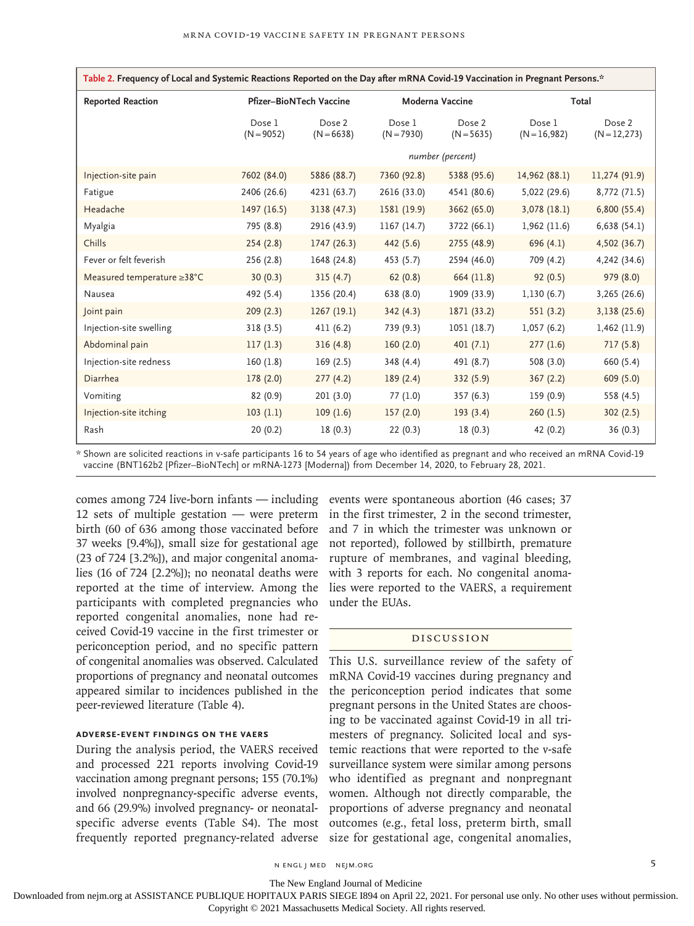| Table 2. Frequency of Local and Systemic Reactions Reported on the Day after mRNA Covid-19 Vaccination in Pregnant Persons.* |                                |                        |                        |                        |                          |                           |
|------------------------------------------------------------------------------------------------------------------------------|--------------------------------|------------------------|------------------------|------------------------|--------------------------|---------------------------|
| <b>Reported Reaction</b>                                                                                                     | <b>Pfizer-BioNTech Vaccine</b> |                        | Moderna Vaccine        |                        | Total                    |                           |
|                                                                                                                              | Dose 1<br>$(N = 9052)$         | Dose 2<br>$(N = 6638)$ | Dose 1<br>$(N = 7930)$ | Dose 2<br>$(N = 5635)$ | Dose 1<br>$(N = 16,982)$ | Dose 2<br>$(N = 12, 273)$ |
|                                                                                                                              |                                |                        |                        | number (percent)       |                          |                           |
| Injection-site pain                                                                                                          | 7602 (84.0)                    | 5886 (88.7)            | 7360 (92.8)            | 5388 (95.6)            | 14,962 (88.1)            | 11,274 (91.9)             |
| Fatigue                                                                                                                      | 2406 (26.6)                    | 4231 (63.7)            | 2616 (33.0)            | 4541 (80.6)            | 5,022 (29.6)             | 8,772 (71.5)              |
| Headache                                                                                                                     | 1497 (16.5)                    | 3138 (47.3)            | 1581 (19.9)            | 3662 (65.0)            | 3,078(18.1)              | 6,800(55.4)               |
| Myalgia                                                                                                                      | 795 (8.8)                      | 2916 (43.9)            | 1167(14.7)             | 3722 (66.1)            | 1,962 (11.6)             | 6,638(54.1)               |
| Chills                                                                                                                       | 254(2.8)                       | 1747(26.3)             | 442 (5.6)              | 2755(48.9)             | 696(4.1)                 | 4,502 (36.7)              |
| Fever or felt feverish                                                                                                       | 256 (2.8)                      | 1648 (24.8)            | 453 (5.7)              | 2594 (46.0)            | 709 (4.2)                | 4,242 (34.6)              |
| Measured temperature ≥38°C                                                                                                   | 30(0.3)                        | 315(4.7)               | 62(0.8)                | 664 (11.8)             | 92(0.5)                  | 979 (8.0)                 |
| Nausea                                                                                                                       | 492 (5.4)                      | 1356 (20.4)            | 638 (8.0)              | 1909 (33.9)            | 1,130(6.7)               | 3,265 (26.6)              |
| Joint pain                                                                                                                   | 209(2.3)                       | 1267(19.1)             | 342(4.3)               | 1871 (33.2)            | 551(3.2)                 | 3,138 (25.6)              |
| Injection-site swelling                                                                                                      | 318(3.5)                       | 411(6.2)               | 739 (9.3)              | 1051 (18.7)            | 1,057(6.2)               | 1,462 (11.9)              |
| Abdominal pain                                                                                                               | 117(1.3)                       | 316(4.8)               | 160(2.0)               | 401(7.1)               | 277(1.6)                 | 717(5.8)                  |
| Injection-site redness                                                                                                       | 160(1.8)                       | 169(2.5)               | 348 (4.4)              | 491 (8.7)              | 508 (3.0)                | 660 (5.4)                 |
| Diarrhea                                                                                                                     | 178(2.0)                       | 277(4.2)               | 189(2.4)               | 332 (5.9)              | 367(2.2)                 | 609(5.0)                  |
| Vomiting                                                                                                                     | 82(0.9)                        | 201(3.0)               | 77 (1.0)               | 357 (6.3)              | 159 (0.9)                | 558 (4.5)                 |
| Injection-site itching                                                                                                       | 103(1.1)                       | 109(1.6)               | 157(2.0)               | 193(3.4)               | 260(1.5)                 | 302(2.5)                  |
| Rash                                                                                                                         | 20(0.2)                        | 18(0.3)                | 22(0.3)                | 18(0.3)                | 42 (0.2)                 | 36(0.3)                   |

\* Shown are solicited reactions in v-safe participants 16 to 54 years of age who identified as pregnant and who received an mRNA Covid-19 vaccine (BNT162b2 [Pfizer–BioNTech] or mRNA-1273 [Moderna]) from December 14, 2020, to February 28, 2021.

12 sets of multiple gestation — were preterm birth (60 of 636 among those vaccinated before 37 weeks [9.4%]), small size for gestational age (23 of 724 [3.2%]), and major congenital anomalies (16 of 724 [2.2%]); no neonatal deaths were reported at the time of interview. Among the participants with completed pregnancies who reported congenital anomalies, none had received Covid-19 vaccine in the first trimester or periconception period, and no specific pattern of congenital anomalies was observed. Calculated proportions of pregnancy and neonatal outcomes appeared similar to incidences published in the peer-reviewed literature (Table 4).

# **Adverse-Event Findings on the VAERS**

During the analysis period, the VAERS received and processed 221 reports involving Covid-19 vaccination among pregnant persons; 155 (70.1%) involved nonpregnancy-specific adverse events, and 66 (29.9%) involved pregnancy- or neonatalspecific adverse events (Table S4). The most frequently reported pregnancy-related adverse

comes among 724 live-born infants — including events were spontaneous abortion (46 cases; 37 in the first trimester, 2 in the second trimester, and 7 in which the trimester was unknown or not reported), followed by stillbirth, premature rupture of membranes, and vaginal bleeding, with 3 reports for each. No congenital anomalies were reported to the VAERS, a requirement under the EUAs.

## Discussion

This U.S. surveillance review of the safety of mRNA Covid-19 vaccines during pregnancy and the periconception period indicates that some pregnant persons in the United States are choosing to be vaccinated against Covid-19 in all trimesters of pregnancy. Solicited local and systemic reactions that were reported to the v-safe surveillance system were similar among persons who identified as pregnant and nonpregnant women. Although not directly comparable, the proportions of adverse pregnancy and neonatal outcomes (e.g., fetal loss, preterm birth, small size for gestational age, congenital anomalies,

n engl j med nejm.org 5

The New England Journal of Medicine

Downloaded from nejm.org at ASSISTANCE PUBLIQUE HOPITAUX PARIS SIEGE I894 on April 22, 2021. For personal use only. No other uses without permission.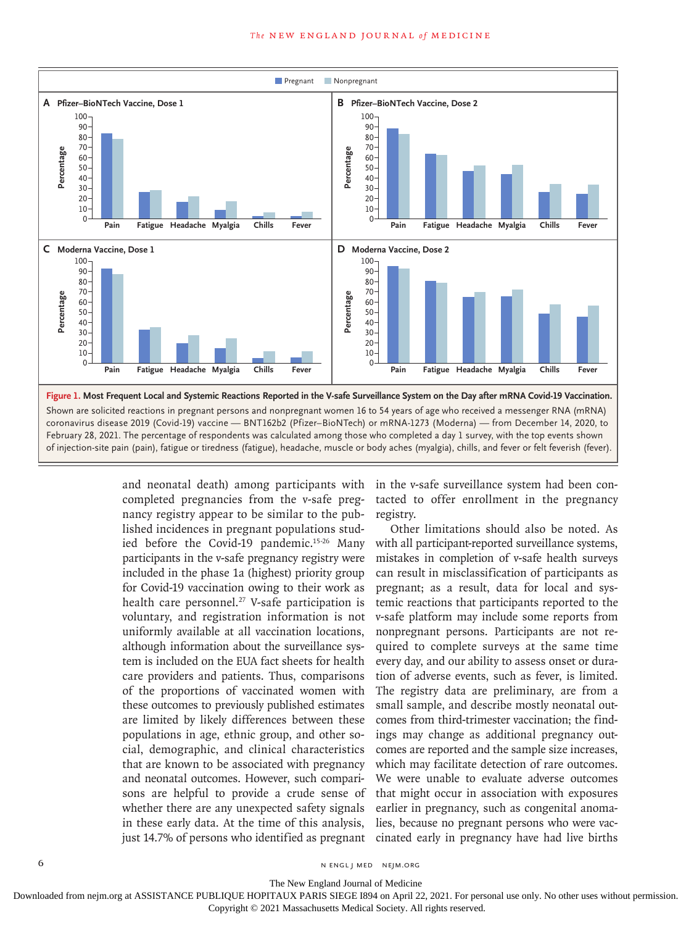

and neonatal death) among participants with completed pregnancies from the v-safe pregnancy registry appear to be similar to the published incidences in pregnant populations studied before the Covid-19 pandemic.15-26 Many participants in the v-safe pregnancy registry were included in the phase 1a (highest) priority group for Covid-19 vaccination owing to their work as health care personnel.<sup>27</sup> V-safe participation is voluntary, and registration information is not uniformly available at all vaccination locations, although information about the surveillance system is included on the EUA fact sheets for health care providers and patients. Thus, comparisons of the proportions of vaccinated women with these outcomes to previously published estimates are limited by likely differences between these populations in age, ethnic group, and other social, demographic, and clinical characteristics that are known to be associated with pregnancy and neonatal outcomes. However, such comparisons are helpful to provide a crude sense of whether there are any unexpected safety signals in these early data. At the time of this analysis, just 14.7% of persons who identified as pregnant

in the v-safe surveillance system had been contacted to offer enrollment in the pregnancy registry.

Other limitations should also be noted. As with all participant-reported surveillance systems, mistakes in completion of v-safe health surveys can result in misclassification of participants as pregnant; as a result, data for local and systemic reactions that participants reported to the v-safe platform may include some reports from nonpregnant persons. Participants are not required to complete surveys at the same time every day, and our ability to assess onset or duration of adverse events, such as fever, is limited. The registry data are preliminary, are from a small sample, and describe mostly neonatal outcomes from third-trimester vaccination; the findings may change as additional pregnancy outcomes are reported and the sample size increases, which may facilitate detection of rare outcomes. We were unable to evaluate adverse outcomes that might occur in association with exposures earlier in pregnancy, such as congenital anomalies, because no pregnant persons who were vaccinated early in pregnancy have had live births

6 **n** engl j med nejm.org neighbors in the neutral media  $\frac{1}{2}$  media  $\frac{1}{2}$  media  $\frac{1}{2}$  media  $\frac{1}{2}$  media  $\frac{1}{2}$  media  $\frac{1}{2}$  media  $\frac{1}{2}$  media  $\frac{1}{2}$  media  $\frac{1}{2}$  media  $\frac{1}{2}$  media  $\frac{1$ 

The New England Journal of Medicine

Downloaded from nejm.org at ASSISTANCE PUBLIQUE HOPITAUX PARIS SIEGE I894 on April 22, 2021. For personal use only. No other uses without permission.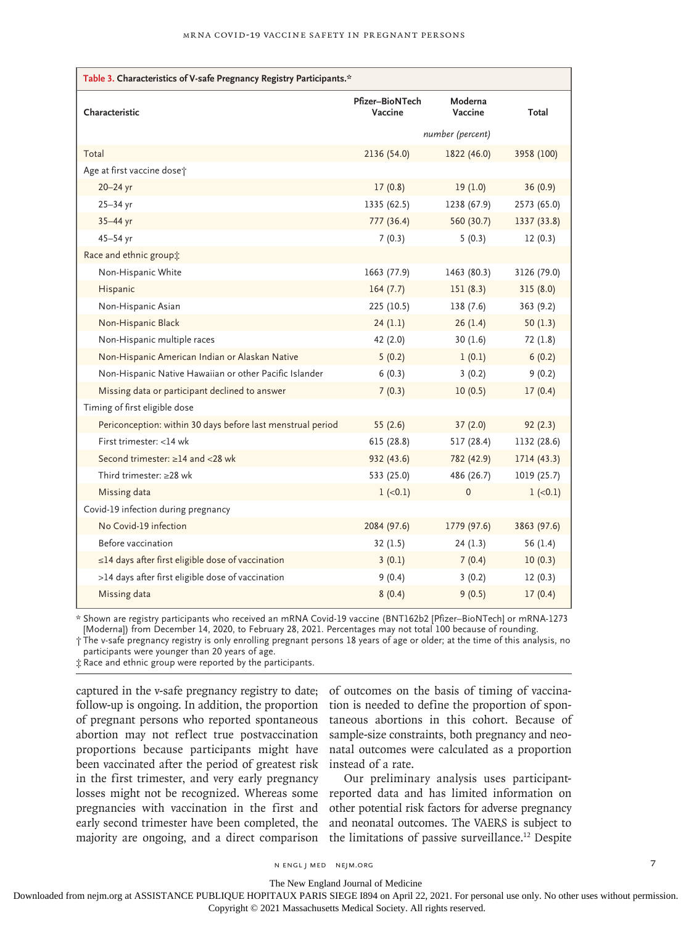| Table 3. Characteristics of V-safe Pregnancy Registry Participants.* |                            |                    |             |  |  |
|----------------------------------------------------------------------|----------------------------|--------------------|-------------|--|--|
| Characteristic                                                       | Pfizer-BioNTech<br>Vaccine | Moderna<br>Vaccine | Total       |  |  |
|                                                                      | number (percent)           |                    |             |  |  |
| Total                                                                | 2136 (54.0)                | 1822 (46.0)        | 3958 (100)  |  |  |
| Age at first vaccine doset                                           |                            |                    |             |  |  |
| $20 - 24$ yr                                                         | 17(0.8)                    | 19(1.0)            | 36(0.9)     |  |  |
| $25 - 34$ yr                                                         | 1335 (62.5)                | 1238 (67.9)        | 2573 (65.0) |  |  |
| 35-44 yr                                                             | 777 (36.4)                 | 560 (30.7)         | 1337 (33.8) |  |  |
| $45 - 54$ yr                                                         | 7(0.3)                     | 5(0.3)             | 12(0.3)     |  |  |
| Race and ethnic group;                                               |                            |                    |             |  |  |
| Non-Hispanic White                                                   | 1663 (77.9)                | 1463 (80.3)        | 3126 (79.0) |  |  |
| Hispanic                                                             | 164(7.7)                   | 151(8.3)           | 315(8.0)    |  |  |
| Non-Hispanic Asian                                                   | 225 (10.5)                 | 138(7.6)           | 363(9.2)    |  |  |
| Non-Hispanic Black                                                   | 24(1.1)                    | 26(1.4)            | 50 $(1.3)$  |  |  |
| Non-Hispanic multiple races                                          | 42 (2.0)                   | 30(1.6)            | 72(1.8)     |  |  |
| Non-Hispanic American Indian or Alaskan Native                       | 5(0.2)                     | 1(0.1)             | 6(0.2)      |  |  |
| Non-Hispanic Native Hawaiian or other Pacific Islander               | 6(0.3)                     | 3(0.2)             | 9(0.2)      |  |  |
| Missing data or participant declined to answer                       | 7(0.3)                     | 10(0.5)            | 17(0.4)     |  |  |
| Timing of first eligible dose                                        |                            |                    |             |  |  |
| Periconception: within 30 days before last menstrual period          | 55(2.6)                    | 37(2.0)            | 92(2.3)     |  |  |
| First trimester: <14 wk                                              | 615(28.8)                  | 517(28.4)          | 1132 (28.6) |  |  |
| Second trimester: ≥14 and <28 wk                                     | 932 (43.6)                 | 782 (42.9)         | 1714 (43.3) |  |  |
| Third trimester: $\geq$ 28 wk                                        | 533 (25.0)                 | 486 (26.7)         | 1019(25.7)  |  |  |
| Missing data                                                         | $1 (-0.1)$                 | $\mathbf 0$        | $1 (-0.1)$  |  |  |
| Covid-19 infection during pregnancy                                  |                            |                    |             |  |  |
| No Covid-19 infection                                                | 2084 (97.6)                | 1779 (97.6)        | 3863 (97.6) |  |  |
| Before vaccination                                                   | 32(1.5)                    | 24(1.3)            | 56 $(1.4)$  |  |  |
| ≤14 days after first eligible dose of vaccination                    | 3(0.1)                     | 7(0.4)             | 10(0.3)     |  |  |
| >14 days after first eligible dose of vaccination                    | 9(0.4)                     | 3(0.2)             | 12(0.3)     |  |  |
| Missing data                                                         | 8(0.4)                     | 9(0.5)             | 17(0.4)     |  |  |

\* Shown are registry participants who received an mRNA Covid-19 vaccine (BNT162b2 [Pfizer–BioNTech] or mRNA-1273 [Moderna]) from December 14, 2020, to February 28, 2021. Percentages may not total 100 because of rounding.

† The v-safe pregnancy registry is only enrolling pregnant persons 18 years of age or older; at the time of this analysis, no participants were younger than 20 years of age.

‡ Race and ethnic group were reported by the participants.

captured in the v-safe pregnancy registry to date; follow-up is ongoing. In addition, the proportion of pregnant persons who reported spontaneous abortion may not reflect true postvaccination proportions because participants might have been vaccinated after the period of greatest risk in the first trimester, and very early pregnancy losses might not be recognized. Whereas some pregnancies with vaccination in the first and early second trimester have been completed, the majority are ongoing, and a direct comparison

of outcomes on the basis of timing of vaccination is needed to define the proportion of spontaneous abortions in this cohort. Because of sample-size constraints, both pregnancy and neonatal outcomes were calculated as a proportion instead of a rate.

Our preliminary analysis uses participantreported data and has limited information on other potential risk factors for adverse pregnancy and neonatal outcomes. The VAERS is subject to the limitations of passive surveillance.<sup>12</sup> Despite

n engl j med nejm.org 7

The New England Journal of Medicine

Downloaded from nejm.org at ASSISTANCE PUBLIQUE HOPITAUX PARIS SIEGE I894 on April 22, 2021. For personal use only. No other uses without permission.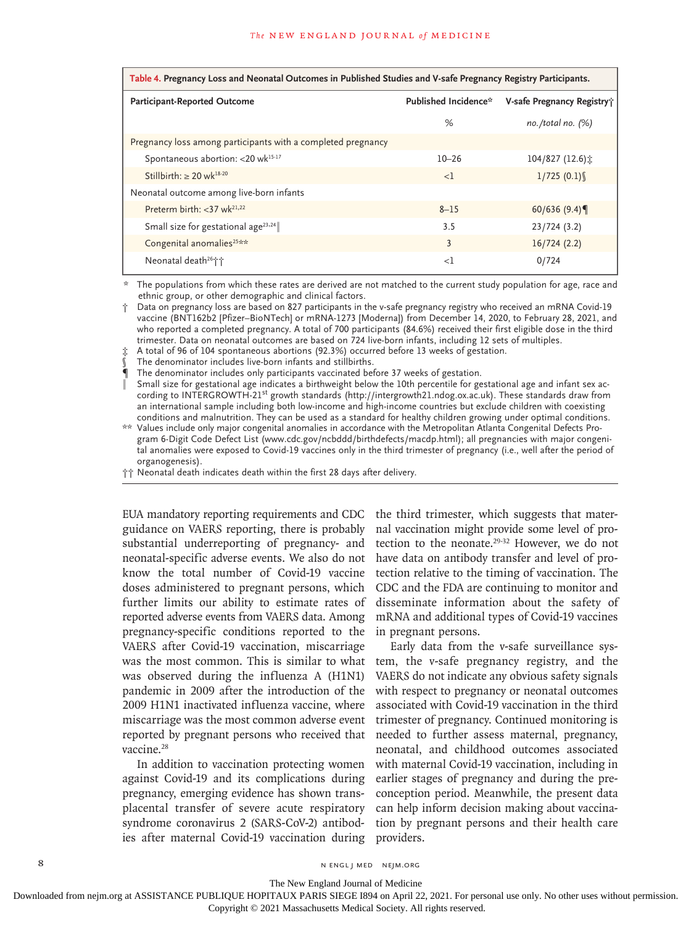| Table 4. Pregnancy Loss and Neonatal Outcomes in Published Studies and V-safe Pregnancy Registry Participants. |                      |                            |  |
|----------------------------------------------------------------------------------------------------------------|----------------------|----------------------------|--|
| Participant-Reported Outcome                                                                                   | Published Incidence* | V-safe Pregnancy Registry; |  |
|                                                                                                                | %                    | no./total no. $(%)$        |  |
| Pregnancy loss among participants with a completed pregnancy                                                   |                      |                            |  |
| Spontaneous abortion: < 20 wk <sup>15-17</sup>                                                                 | $10 - 26$            | $104/827(12.6)$ :          |  |
| Stillbirth: $\geq 20$ wk <sup>18-20</sup>                                                                      | <1                   | 1/725(0.1)                 |  |
| Neonatal outcome among live-born infants                                                                       |                      |                            |  |
| Preterm birth: $<$ 37 wk <sup>21,22</sup>                                                                      | $8 - 15$             | 60/636 $(9.4)$             |  |
| Small size for gestational age <sup>23,24</sup>                                                                | 3.5                  | 23/724 (3.2)               |  |
| Congenital anomalies <sup>25**</sup>                                                                           | 3                    | 16/724(2.2)                |  |
| Neonatal death <sup>26</sup> <sup>+</sup> +                                                                    | $<$ l                | 0/724                      |  |

\* The populations from which these rates are derived are not matched to the current study population for age, race and ethnic group, or other demographic and clinical factors.

† Data on pregnancy loss are based on 827 participants in the v-safe pregnancy registry who received an mRNA Covid-19 vaccine (BNT162b2 [Pfizer–BioNTech] or mRNA-1273 [Moderna]) from December 14, 2020, to February 28, 2021, and who reported a completed pregnancy. A total of 700 participants (84.6%) received their first eligible dose in the third trimester. Data on neonatal outcomes are based on 724 live-born infants, including 12 sets of multiples.

A total of 96 of 104 spontaneous abortions (92.3%) occurred before 13 weeks of gestation.

The denominator includes live-born infants and stillbirths.

¶ The denominator includes only participants vaccinated before 37 weeks of gestation.

Small size for gestational age indicates a birthweight below the 10th percentile for gestational age and infant sex according to INTERGROWTH-21<sup>st</sup> growth standards (http://intergrowth21.ndog.ox.ac.uk). These standards draw from an international sample including both low-income and high-income countries but exclude children with coexisting conditions and malnutrition. They can be used as a standard for healthy children growing under optimal conditions.

\*\* Values include only major congenital anomalies in accordance with the Metropolitan Atlanta Congenital Defects Program 6-Digit Code Defect List (www.cdc.gov/ncbddd/birthdefects/macdp.html); all pregnancies with major congenital anomalies were exposed to Covid-19 vaccines only in the third trimester of pregnancy (i.e., well after the period of organogenesis).

†† Neonatal death indicates death within the first 28 days after delivery.

EUA mandatory reporting requirements and CDC guidance on VAERS reporting, there is probably substantial underreporting of pregnancy- and neonatal-specific adverse events. We also do not know the total number of Covid-19 vaccine doses administered to pregnant persons, which further limits our ability to estimate rates of reported adverse events from VAERS data. Among pregnancy-specific conditions reported to the VAERS after Covid-19 vaccination, miscarriage was the most common. This is similar to what was observed during the influenza A (H1N1) pandemic in 2009 after the introduction of the 2009 H1N1 inactivated influenza vaccine, where miscarriage was the most common adverse event reported by pregnant persons who received that vaccine.<sup>28</sup>

In addition to vaccination protecting women against Covid-19 and its complications during pregnancy, emerging evidence has shown transplacental transfer of severe acute respiratory syndrome coronavirus 2 (SARS-CoV-2) antibodies after maternal Covid-19 vaccination during

the third trimester, which suggests that maternal vaccination might provide some level of protection to the neonate.29-32 However, we do not have data on antibody transfer and level of protection relative to the timing of vaccination. The CDC and the FDA are continuing to monitor and disseminate information about the safety of mRNA and additional types of Covid-19 vaccines in pregnant persons.

Early data from the v-safe surveillance system, the v-safe pregnancy registry, and the VAERS do not indicate any obvious safety signals with respect to pregnancy or neonatal outcomes associated with Covid-19 vaccination in the third trimester of pregnancy. Continued monitoring is needed to further assess maternal, pregnancy, neonatal, and childhood outcomes associated with maternal Covid-19 vaccination, including in earlier stages of pregnancy and during the preconception period. Meanwhile, the present data can help inform decision making about vaccination by pregnant persons and their health care providers.

8 N ENGL J MED NEJM.ORG

The New England Journal of Medicine

Downloaded from nejm.org at ASSISTANCE PUBLIQUE HOPITAUX PARIS SIEGE I894 on April 22, 2021. For personal use only. No other uses without permission.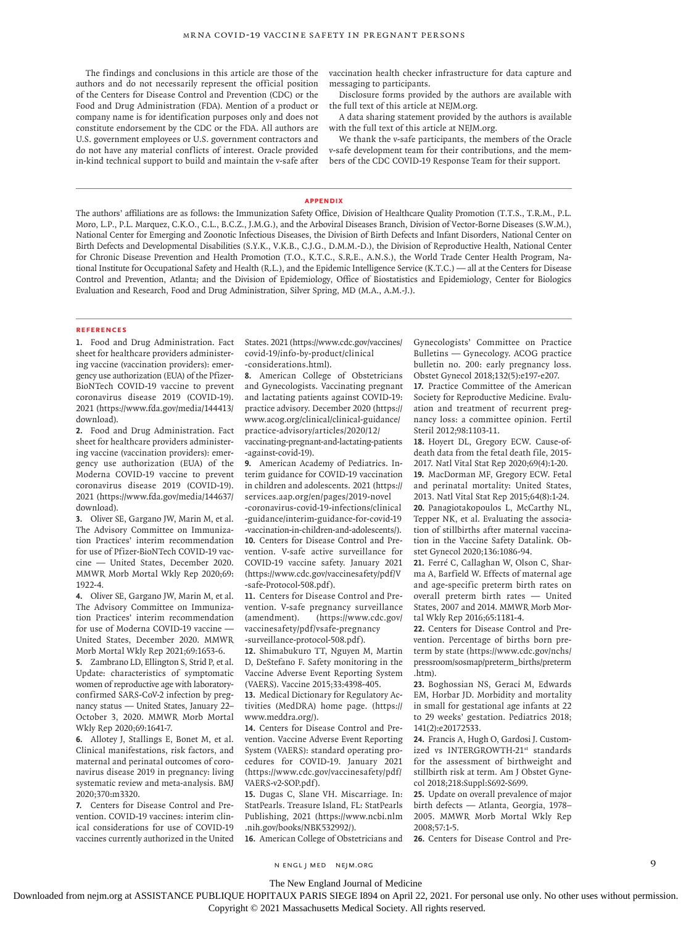The findings and conclusions in this article are those of the authors and do not necessarily represent the official position of the Centers for Disease Control and Prevention (CDC) or the Food and Drug Administration (FDA). Mention of a product or company name is for identification purposes only and does not constitute endorsement by the CDC or the FDA. All authors are U.S. government employees or U.S. government contractors and do not have any material conflicts of interest. Oracle provided in-kind technical support to build and maintain the v-safe after vaccination health checker infrastructure for data capture and messaging to participants.

Disclosure forms provided by the authors are available with the full text of this article at NEJM.org.

A data sharing statement provided by the authors is available with the full text of this article at NEJM.org.

We thank the v-safe participants, the members of the Oracle v-safe development team for their contributions, and the members of the CDC COVID-19 Response Team for their support.

#### **Appendix**

The authors' affiliations are as follows: the Immunization Safety Office, Division of Healthcare Quality Promotion (T.T.S., T.R.M., P.L. Moro, L.P., P.L. Marquez, C.K.O., C.L., B.C.Z., J.M.G.), and the Arboviral Diseases Branch, Division of Vector-Borne Diseases (S.W.M.), National Center for Emerging and Zoonotic Infectious Diseases, the Division of Birth Defects and Infant Disorders, National Center on Birth Defects and Developmental Disabilities (S.Y.K., V.K.B., C.J.G., D.M.M.-D.), the Division of Reproductive Health, National Center for Chronic Disease Prevention and Health Promotion (T.O., K.T.C., S.R.E., A.N.S.), the World Trade Center Health Program, National Institute for Occupational Safety and Health (R.L.), and the Epidemic Intelligence Service (K.T.C.) — all at the Centers for Disease Control and Prevention, Atlanta; and the Division of Epidemiology, Office of Biostatistics and Epidemiology, Center for Biologics Evaluation and Research, Food and Drug Administration, Silver Spring, MD (M.A., A.M.-J.).

#### **References**

**1.** Food and Drug Administration. Fact sheet for healthcare providers administering vaccine (vaccination providers): emergency use authorization (EUA) of the Pfizer-BioNTech COVID-19 vaccine to prevent coronavirus disease 2019 (COVID-19). 2021 (https://www.fda.gov/media/144413/ download).

**2.** Food and Drug Administration. Fact sheet for healthcare providers administering vaccine (vaccination providers): emergency use authorization (EUA) of the Moderna COVID-19 vaccine to prevent coronavirus disease 2019 (COVID-19). 2021 (https://www.fda.gov/media/144637/ download).

**3.** Oliver SE, Gargano JW, Marin M, et al. The Advisory Committee on Immunization Practices' interim recommendation for use of Pfizer-BioNTech COVID-19 vaccine — United States, December 2020. MMWR Morb Mortal Wkly Rep 2020;69: 1922-4.

**4.** Oliver SE, Gargano JW, Marin M, et al. The Advisory Committee on Immunization Practices' interim recommendation for use of Moderna COVID-19 vaccine -United States, December 2020. MMWR Morb Mortal Wkly Rep 2021;69:1653-6.

**5.** Zambrano LD, Ellington S, Strid P, et al. Update: characteristics of symptomatic women of reproductive age with laboratoryconfirmed SARS-CoV-2 infection by pregnancy status — United States, January 22– October 3, 2020. MMWR Morb Mortal Wkly Rep 2020;69:1641-7.

**6.** Allotey J, Stallings E, Bonet M, et al. Clinical manifestations, risk factors, and maternal and perinatal outcomes of coronavirus disease 2019 in pregnancy: living systematic review and meta-analysis. BMJ 2020;370:m3320.

**7.** Centers for Disease Control and Prevention. COVID-19 vaccines: interim clinical considerations for use of COVID-19 vaccines currently authorized in the United States. 2021 (https://www.cdc.gov/vaccines/ covid-19/info-by-product/clinical -considerations.html).

**8.** American College of Obstetricians and Gynecologists. Vaccinating pregnant and lactating patients against COVID-19: practice advisory. December 2020 (https:// www.acog.org/clinical/clinical-guidance/ practice-advisory/articles/2020/12/ vaccinating-pregnant-and-lactating-patients

-against-covid-19).

**9.** American Academy of Pediatrics. Interim guidance for COVID-19 vaccination in children and adolescents. 2021 (https:// services.aap.org/en/pages/2019-novel

-coronavirus-covid-19-infections/clinical -guidance/interim-guidance-for-covid-19 -vaccination-in-children-and-adolescents/). **10.** Centers for Disease Control and Prevention. V-safe active surveillance for COVID-19 vaccine safety. January 2021 (https://www.cdc.gov/vaccinesafety/pdf/V -safe-Protocol-508.pdf).

**11.** Centers for Disease Control and Prevention. V-safe pregnancy surveillance (amendment). (https://www.cdc.gov/ vaccinesafety/pdf/vsafe-pregnancy -surveillance-protocol-508.pdf).

**12.** Shimabukuro TT, Nguyen M, Martin D, DeStefano F. Safety monitoring in the Vaccine Adverse Event Reporting System (VAERS). Vaccine 2015;33:4398-405.

**13.** Medical Dictionary for Regulatory Activities (MedDRA) home page. (https:// www.meddra.org/).

**14.** Centers for Disease Control and Prevention. Vaccine Adverse Event Reporting System (VAERS): standard operating procedures for COVID-19. January 2021 (https://www.cdc.gov/vaccinesafety/pdf/ VAERS-v2-SOP.pdf).

**15.** Dugas C, Slane VH. Miscarriage. In: StatPearls. Treasure Island, FL: StatPearls Publishing, 2021 (https://www.ncbi.nlm .nih.gov/books/NBK532992/).

**16.** American College of Obstetricians and

Gynecologists' Committee on Practice Bulletins — Gynecology. ACOG practice bulletin no. 200: early pregnancy loss. Obstet Gynecol 2018;132(5):e197-e207.

**17.** Practice Committee of the American Society for Reproductive Medicine. Evaluation and treatment of recurrent pregnancy loss: a committee opinion. Fertil Steril 2012;98:1103-11.

**18.** Hoyert DL, Gregory ECW. Cause-ofdeath data from the fetal death file, 2015- 2017. Natl Vital Stat Rep 2020;69(4):1-20. **19.** MacDorman MF, Gregory ECW. Fetal and perinatal mortality: United States, 2013. Natl Vital Stat Rep 2015;64(8):1-24. **20.** Panagiotakopoulos L, McCarthy NL, Tepper NK, et al. Evaluating the association of stillbirths after maternal vaccination in the Vaccine Safety Datalink. Obstet Gynecol 2020;136:1086-94.

**21.** Ferré C, Callaghan W, Olson C, Sharma A, Barfield W. Effects of maternal age and age-specific preterm birth rates on overall preterm birth rates — United States, 2007 and 2014. MMWR Morb Mortal Wkly Rep 2016;65:1181-4.

**22.** Centers for Disease Control and Prevention. Percentage of births born preterm by state (https://www.cdc.gov/nchs/ pressroom/sosmap/preterm\_births/preterm .htm).

**23.** Boghossian NS, Geraci M, Edwards EM, Horbar JD. Morbidity and mortality in small for gestational age infants at 22 to 29 weeks' gestation. Pediatrics 2018; 141(2):e20172533.

**24.** Francis A, Hugh O, Gardosi J. Customized vs INTERGROWTH-21st standards for the assessment of birthweight and stillbirth risk at term. Am J Obstet Gynecol 2018;218:Suppl:S692-S699.

**25.** Update on overall prevalence of major birth defects — Atlanta, Georgia, 1978– 2005. MMWR Morb Mortal Wkly Rep 2008;57:1-5.

**26.** Centers for Disease Control and Pre-

n engl j med nejm.org 9

The New England Journal of Medicine

Downloaded from nejm.org at ASSISTANCE PUBLIQUE HOPITAUX PARIS SIEGE I894 on April 22, 2021. For personal use only. No other uses without permission. Copyright © 2021 Massachusetts Medical Society. All rights reserved.